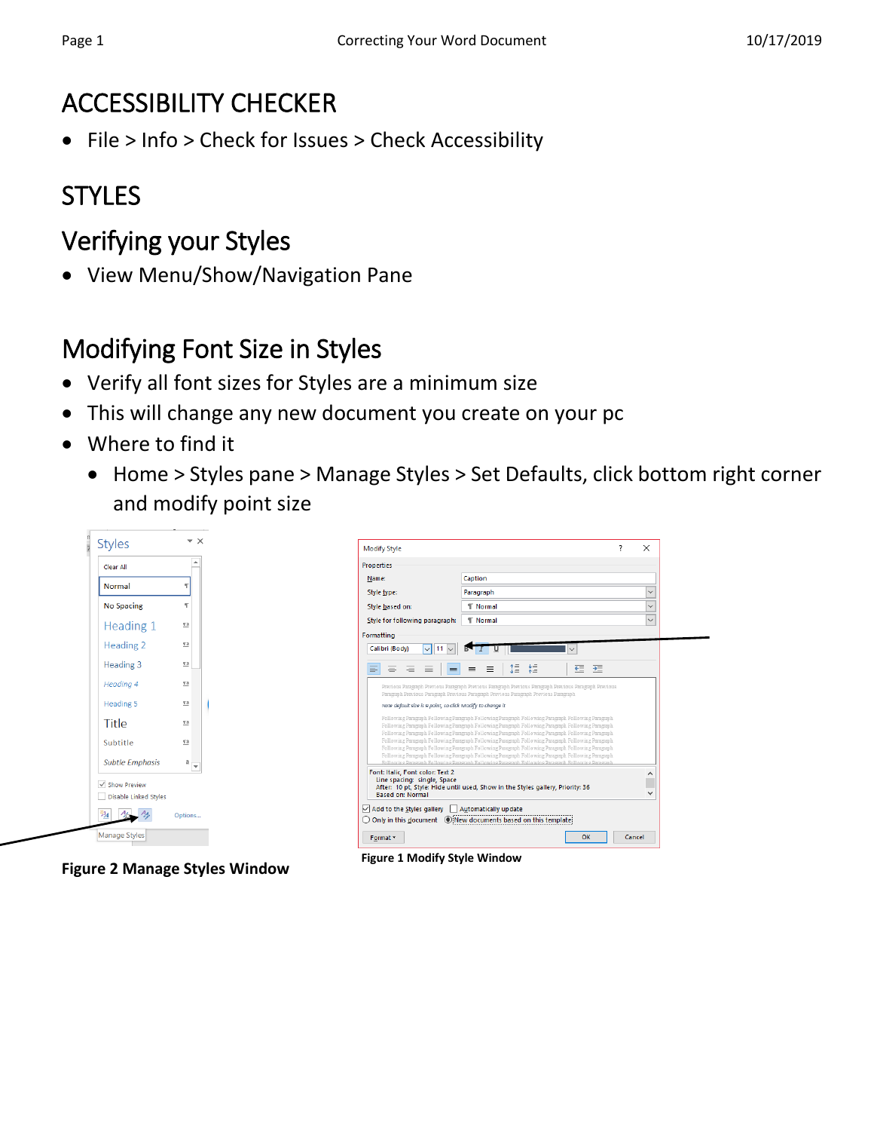### ACCESSIBILITY CHECKER

File > Info > Check for Issues > Check Accessibility

# **STYLES**

### Verifying your Styles

• View Menu/Show/Navigation Pane

### Modifying Font Size in Styles

- Verify all font sizes for Styles are a minimum size
- This will change any new document you create on your pc
- Where to find it
	- Home > Styles pane > Manage Styles > Set Defaults, click bottom right corner and modify point size





**Figure 2 Manage Styles Window**

**Figure 1 Modify Style Window**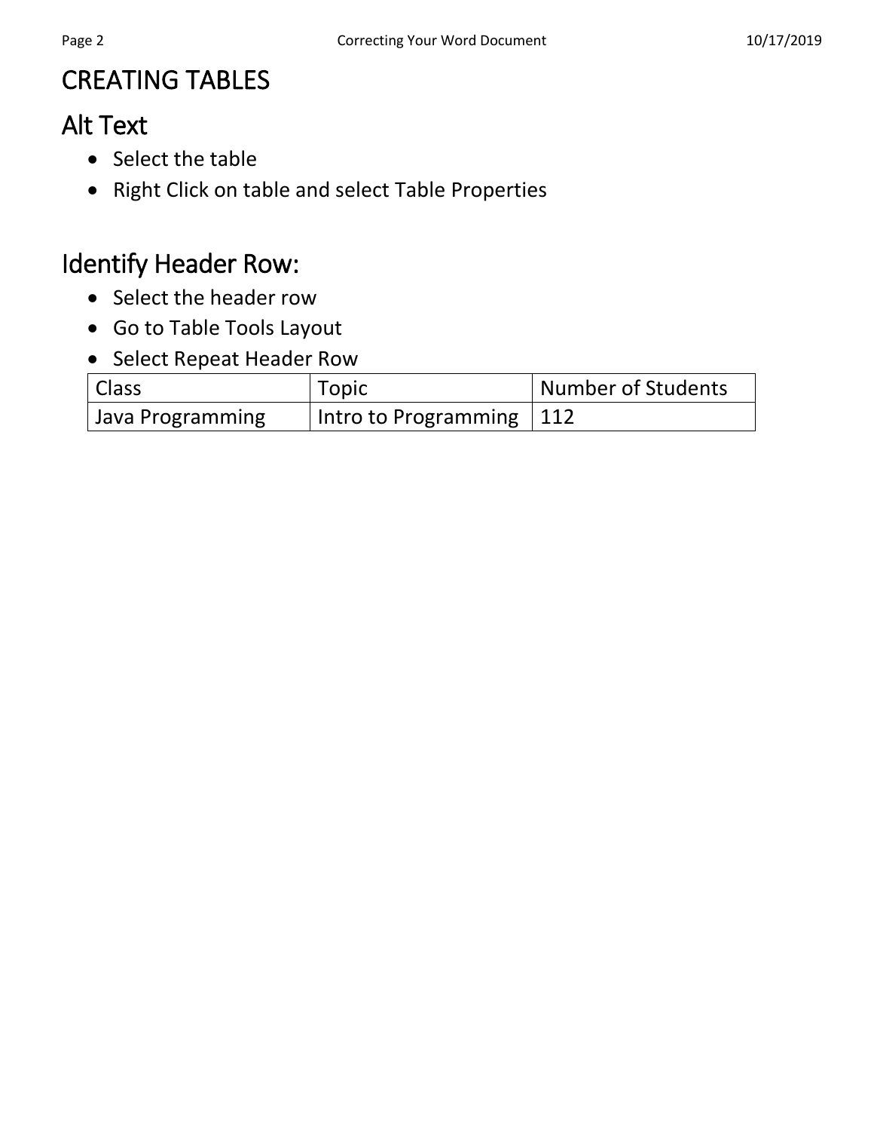### CREATING TABLES

### Alt Text

- Select the table
- Right Click on table and select Table Properties

#### Identify Header Row:

- Select the header row
- Go to Table Tools Layout
- Select Repeat Header Row

| Class            | Topic                      | Number of Students |
|------------------|----------------------------|--------------------|
| Java Programming | Intro to Programming   112 |                    |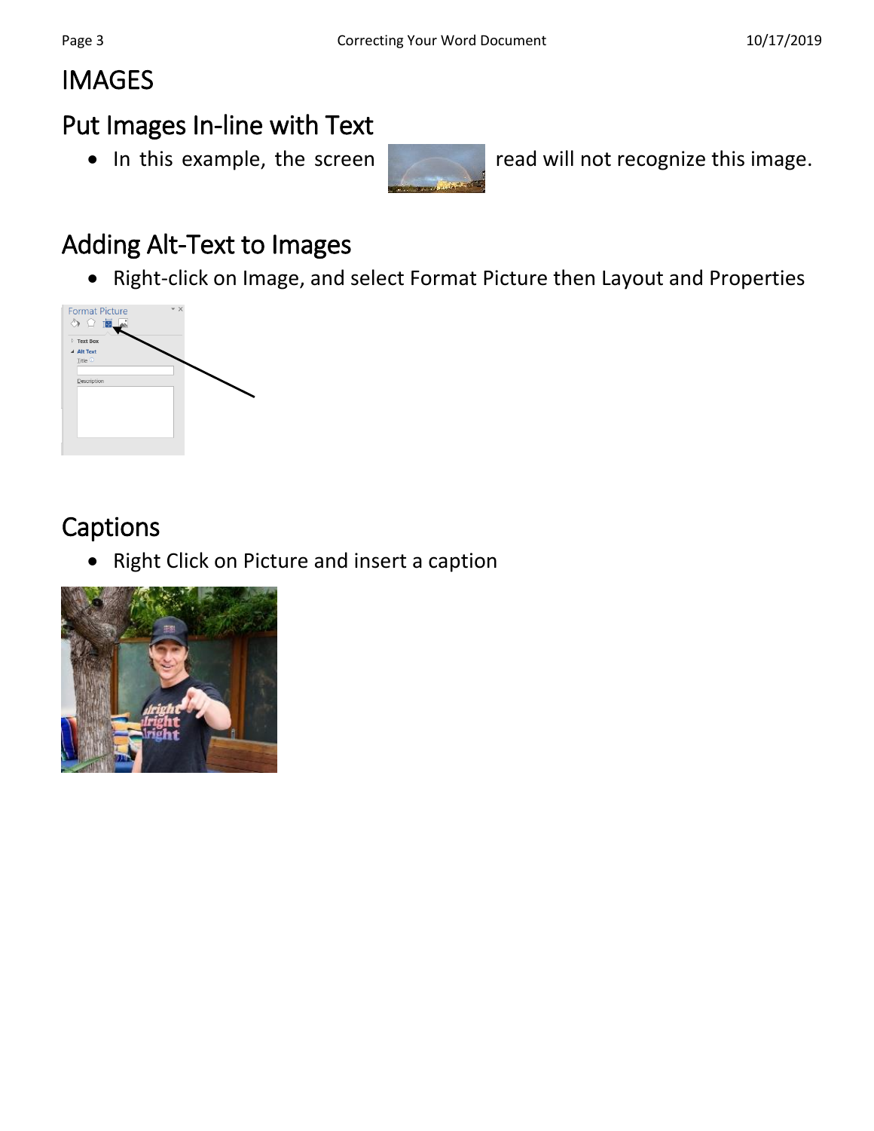## IMAGES

#### Put Images In-line with Text



• In this example, the screen read will not recognize this image.

### Adding Alt-Text to Images

Right-click on Image, and select Format Picture then Layout and Properties



### Captions

Right Click on Picture and insert a caption